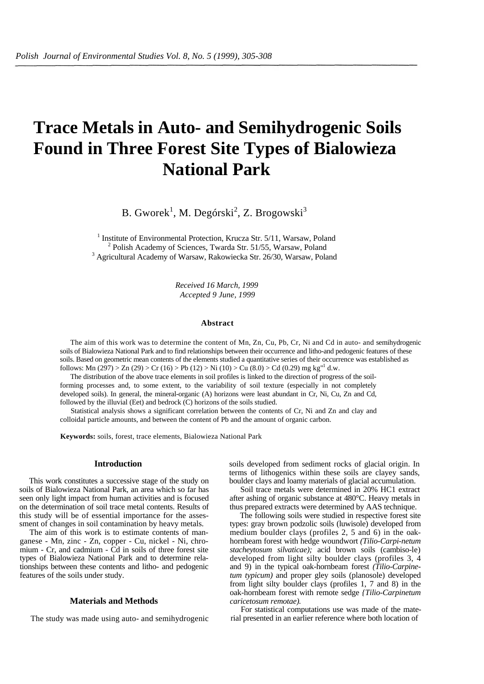# **Trace Metals in Auto- and Semihydrogenic Soils Found in Three Forest Site Types of Bialowieza National Park**

B. Gworek $^1$ , M. Degórski $^2$ , Z. Brogowski $^3$ 

<sup>1</sup> Institute of Environmental Protection, Krucza Str. 5/11, Warsaw, Poland  $\frac{2 \text{ Polish Academy of Sciences Trivades. Set } 51/55 \text{ Wanes. Deland}}{2 \text{�} \cdot \text{Dens. Set } 2 \cdot \text{Dens. Set } 2 \cdot \text{Dens. Set } 2 \cdot \text{Dens. Set } 2 \cdot \text{Dens. Set } 2 \cdot \text{Dens. Set } 2 \cdot \text{Dens. Set } 2 \cdot \text{Dens. Set } 2 \cdot \text{Dens. Set$  $2$  Polish Academy of Sciences, Twarda Str. 51/55, Warsaw, Poland <sup>3</sup> Agricultural Academy of Warsaw, Rakowiecka Str. 26/30, Warsaw, Poland

> *Received 16 March, 1999 Accepted 9 June, 1999*

### **Abstract**

The aim of this work was to determine the content of Mn, Zn, Cu, Pb, Cr, Ni and Cd in auto- and semihydrogenic soils of Bialowieza National Park and to find relationships between their occurrence and litho-and pedogenic features of these soils. Based on geometric mean contents of the elements studied a quantitative series of their occurrence was established as follows: Mn (297) > Zn (29) > Cr (16) > Pb (12) > Ni (10) > Cu (8.0) > Cd (0.29) mg kg<sup>"1</sup> d.w.

The distribution of the above trace elements in soil profiles is linked to the direction of progress of the soilforming processes and, to some extent, to the variability of soil texture (especially in not completely developed soils). In general, the mineral-organic (A) horizons were least abundant in Cr, Ni, Cu, Zn and Cd, followed by the illuvial (Eet) and bedrock (C) horizons of the soils studied.

Statistical analysis shows a significant correlation between the contents of Cr, Ni and Zn and clay and colloidal particle amounts, and between the content of Pb and the amount of organic carbon.

**Keywords:** soils, forest, trace elements, Bialowieza National Park

## **Introduction**

This work constitutes a successive stage of the study on soils of Bialowieza National Park, an area which so far has seen only light impact from human activities and is focused on the determination of soil trace metal contents. Results of this study will be of essential importance for the assessment of changes in soil contamination by heavy metals.

The aim of this work is to estimate contents of manganese - Mn, zinc - Zn, copper - Cu, nickel - Ni, chromium - Cr, and cadmium - Cd in soils of three forest site types of Bialowieza National Park and to determine relationships between these contents and litho- and pedogenic features of the soils under study.

# **Materials and Methods**

The study was made using auto- and semihydrogenic

soils developed from sediment rocks of glacial origin. In terms of lithogenics within these soils are clayey sands, boulder clays and loamy materials of glacial accumulation.

Soil trace metals were determined in 20% HC1 extract after ashing of organic substance at 480°C. Heavy metals in thus prepared extracts were determined by AAS technique.

The following soils were studied in respective forest site types: gray brown podzolic soils (luwisole) developed from medium boulder clays (profiles 2, 5 and 6) in the oakhornbeam forest with hedge woundwort *(Tilio-Carpi-netum stacheytosum silvaticae);* acid brown soils (cambiso-le) developed from light silty boulder clays (profiles 3, 4 and 9) in the typical oak-hornbeam forest *(Tilio-Carpinetum typicum)* and proper gley soils (planosole) developed from light silty boulder clays (profiles 1, 7 and 8) in the oak-hornbeam forest with remote sedge *{Tilio-Carpinetum caricetosum remotae).*

For statistical computations use was made of the material presented in an earlier reference where both location of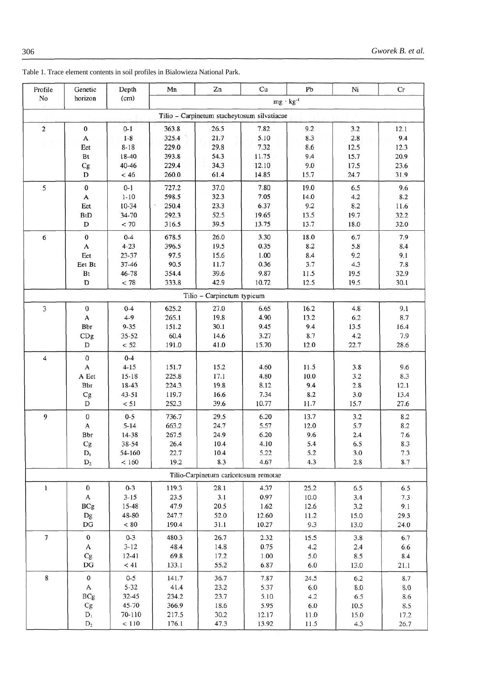| Profile                 | Genetic          | Depth               | Mn                 | Zn                                          | Cu             | Pb           | Ni   | Cr      |  |  |
|-------------------------|------------------|---------------------|--------------------|---------------------------------------------|----------------|--------------|------|---------|--|--|
| No                      | horizon          | (cm)                | $mg \cdot kg^{-1}$ |                                             |                |              |      |         |  |  |
|                         |                  |                     |                    | Tilio - Carpinetum stacheytosum silvatiacae |                |              |      |         |  |  |
| $\sqrt{2}$              | 0                | $0 - 1$             | 363.8              | 26.5                                        | 7.82           | 9.2          | 3.2  | 12.1    |  |  |
|                         | A                | $1-8$               | 325.4              | 21.7                                        | 5.10           | 8.3          | 2.8  | 9.4     |  |  |
|                         | Eet              | $8 - 18$            | 229.0              | 29.8                                        | 7.32           | 8.6          | 12.5 | 12.3    |  |  |
|                         | Bt               | 18-40               | 393.8              | 54.3                                        | 11.75          | 9.4          | 15.7 | 20.9    |  |  |
|                         | Cg               | 40-46               | 229.4              | 34.3                                        | 12.10          | 9.0          | 17.5 | 23.6    |  |  |
|                         | D                | < 46                | 260.0              | 61.4                                        | 14.85          | 15.7         | 24.7 | 31.9    |  |  |
|                         |                  |                     |                    |                                             |                |              |      |         |  |  |
| 5                       | $\pmb{0}$        | $0 - 1$<br>$1 - 10$ | 727.2<br>598.5     | 37.0<br>32.3                                | 7.80<br>7.05   | 19.0         | 6.5  | 9.6     |  |  |
|                         | A                |                     |                    | 23.3                                        | 6.37           | 14.0         | 4.2  | 8.2     |  |  |
|                         | Eet              | $10-34$             | 250.4              |                                             |                | 9.2          | 8.2  | 11.6    |  |  |
|                         | <b>BtD</b><br>D  | 34-70               | 292.3              | 52.5<br>39.5                                | 19.65<br>13.75 | 13.5<br>13.7 | 19.7 | 32.2    |  |  |
|                         |                  | < 70                | 316.5              |                                             |                |              | 18.0 | 32.0    |  |  |
| 6                       | $\pmb{0}$        | $0 - 4$             | 678.5              | 26.0                                        | 3.30           | 18.0         | 6.7  | 7.9     |  |  |
|                         | A                | $4 - 23$            | 396.5              | 19.5                                        | 0.35           | 8.2          | 5.8  | 8.4     |  |  |
|                         | Eet              | 23-37               | 97.5               | 15.6                                        | 1.00           | 8.4          | 9.2  | 9.1     |  |  |
|                         | Eet Bt           | $37 - 46$           | 90.5               | 11.7                                        | 0.36           | 3.7          | 4.3  | 7.8     |  |  |
|                         | Bt               | 46-78               | 354.4              | 39.6                                        | 9.87           | 11.5         | 19.5 | 32.9    |  |  |
|                         | D                | < 78                | 333.8              | 42.9                                        | 10.72          | 12.5         | 19.5 | 30.1    |  |  |
|                         |                  |                     |                    | Tilio - Carpinetum typicum                  |                |              |      |         |  |  |
| $\overline{\mathbf{3}}$ | $\pmb{0}$        | $0 - 4$             | 625.2              | 27.0                                        | 6.65           | 16.2         | 4.8  | 9.1     |  |  |
|                         | A                | $4 - 9$             | 265.1              | 19.8                                        | 4.90           | 13.2         | 6.2  | 8.7     |  |  |
|                         | Bbr              | $9 - 35$            | 151.2              | 30.1                                        | 9.45           | 9.4          | 13.5 | 16.4    |  |  |
|                         | CDg              | $35 - 52$           | 60.4               | 14.6                                        | 3.27           | 8.7          | 4.2  | 7.9     |  |  |
|                         | D                | < 52                | 191.0              | 41.0                                        | 15.70          | 12.0         | 22.7 | 28.6    |  |  |
| $\overline{\mathbf{4}}$ | $\pmb{0}$        | $0 - 4$             |                    |                                             |                |              |      |         |  |  |
|                         | $\mathbf{A}$     | $4 - 15$            | 151.7              | 15.2                                        | 4.60           | 11.5         | 3.8  | 9.6     |  |  |
|                         | A Eet            | $15 - 18$           | 225.8              | 17.1                                        | 4.80           | 10.0         | 3.2  | 8.3     |  |  |
|                         | Bbr              | 18-43               | 224.3              | 19.8                                        | 8.12           | 9.4          | 2.8  | 12.1    |  |  |
|                         | Cg               | 43-51               | 119.7              | 16.6                                        | 7.34           | 8.2          | 3.0  | 13.4    |  |  |
|                         | D                | < 51                | 252.3              | 39.6                                        | 10.77          | 11.7         | 15.7 | 27.6    |  |  |
| 9                       | $\pmb{0}$        | $0 - 5$             | 736.7              | 29.5                                        | 6.20           | 13.7         | 3.2  | 8.2     |  |  |
|                         | A                | $5 - 14$            | 663.2              | 24.7                                        | 5.57           | 12.0         | 5.7  | 8.2     |  |  |
|                         | Bbr              | 14-38               | 267.5              | 24.9                                        | 6.20           | 9.6          | 2.4  | 7.6     |  |  |
|                         | $\rm{Cg}$        | 38-54               | 26.4               | 10.4                                        | 4.10           | 5.4          | 6.5  | 8.3     |  |  |
|                         | $D_1$            | 54-160              | 22.7               | 10.4                                        | 5.22           | 5.2          | 3.0  | 7.3     |  |  |
|                         | $D_2$            | ${}_{< 160}$        | 19.2               | 8.3                                         | 4.67           | 4.3          | 2.8  | 8.7     |  |  |
|                         |                  |                     |                    | Tilio-Carpinetum caricetosum remotae        |                |              |      |         |  |  |
| $\mathbf{1}$            | 0                | $0 - 3$             | 119.3              | 28.1                                        | 4.37           | 25.2         | 6.5  | 6.5     |  |  |
|                         | A                | $3 - 15$            | 23.5               | 3.1                                         | 0.97           | 10.0         | 3.4  | 7.3     |  |  |
|                         | <b>BCg</b>       | 15-48               | 47.9               | 20.5                                        | 1.62           | 12.6         | 3.2  | 9.1     |  |  |
|                         | Dg               | 48-80               | 247.7              | 52.0                                        | 12.60          | 11.2         | 15.0 | 29.3    |  |  |
|                         | $_{\rm DG}$      | $< 80$              | 190.4              | 31.1                                        | 10.27          | 9.3          | 13.0 | 24.0    |  |  |
| $\tau$                  | $\boldsymbol{0}$ | $0 - 3$             | 480.3              | 26.7                                        | 2.32           | 15.5         | 3.8  | 6.7     |  |  |
|                         | A                | $3 - 12$            | 48.4               | 14.8                                        | 0.75           | 4.2          | 2.4  | 6.6     |  |  |
|                         | Cg               | $12 - 41$           | 69.8               | 17.2                                        | 1.00           | 5.0          | 8.5  | 8.4     |  |  |
|                         | DG               | < 41                | 133.1              | 55.2                                        | 6.87           | $6.0\,$      | 13.0 | 21.1    |  |  |
| $\bf 8$                 | $\,0\,$          | $0 - 5$             | 141.7              | 36.7                                        | 7.87           | 24.5         | 6.2  | 8.7     |  |  |
|                         | A                | $5 - 32$            | 41.4               | 23.2                                        | 5.37           | 6.0          | 8.0  | $8.0\,$ |  |  |
|                         | <b>BCg</b>       | $32 - 45$           | 234.2              | 23.7                                        | 5.10           | 4.2          | 6.5  | 8.6     |  |  |
|                         | Cg               | 45-70               | 366.9              | 18.6                                        | 5.95           | $6.0\,$      | 10.5 | 8.5     |  |  |
|                         | $\mathbf{D}_1$   | 70-110              | 217.5              | 30.2                                        | 12.17          | 11.0         | 15.0 | 17.2    |  |  |
|                         | $D_2$            | $<110$              | 176.1              | 47.3                                        | 13.92          | 11.5         | 4.3  | 26.7    |  |  |
|                         |                  |                     |                    |                                             |                |              |      |         |  |  |

Table 1. Trace element contents in soil profiles in Bialowieza National Park.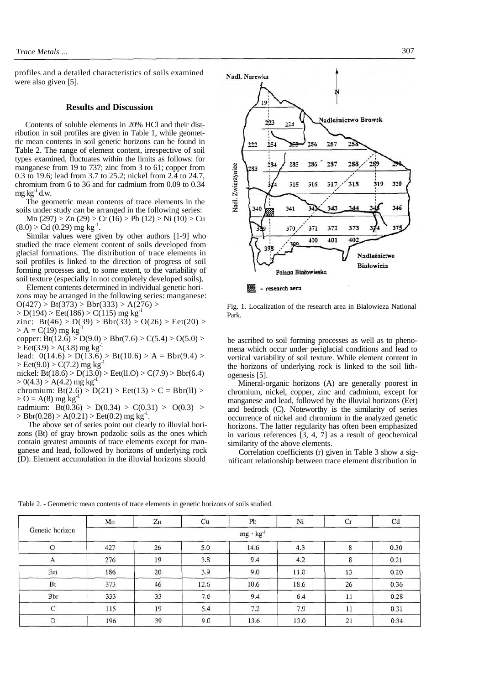profiles and a detailed characteristics of soils examined were also given [5].

## **Results and Discussion**

Contents of soluble elements in 20% HCl and their distribution in soil profiles are given in Table 1, while geometric mean contents in soil genetic horizons can be found in Table 2. The range of element content, irrespective of soil types examined, fluctuates within the limits as follows: for manganese from 19 to 737; zinc from 3 to 61; copper from 0.3 to 19.6; lead from 3.7 to 25.2; nickel from 2.4 to 24.7, chromium from 6 to 36 and for cadmium from 0.09 to 0.34  $me \nleq^{1}$  d.w.

The geometric mean contents of trace elements in the soils under study can be arranged in the following series:

 $Mn (297) > Zn (29) > Cr (16) > Pb (12) > Ni (10) > Cu$  $(8.0) > Cd(0.29)$  mg kg<sup>-1</sup>.

Similar values were given by other authors [1-9] who studied the trace element content of soils developed from glacial formations. The distribution of trace elements in soil profiles is linked to the direction of progress of soil forming processes and, to some extent, to the variability of soil texture (especially in not completely developed soils).

Element contents determined in individual genetic horizons may be arranged in the following series: manganese:  $O(427)$  > Bt(373) > Bbr(333) > A(276) >

 $> D(194)$  > Eet(186) > C(115) mg kg<sup>-1</sup>

zinc:  $Bt(46) > D(39) > Bbr(33) > O(26) > Eet(20) >$  $> A = C(19)$  mg kg<sup>-1</sup>

copper: Bt(12.6) > D(9.0) > Bbr(7.6) > C(5.4) > O(5.0) >  $>$  Eet(3.9)  $>$  A(3.8) mg kg<sup>-1</sup>

lead:  $0(14.6) > D(13.6) > Bt(10.6) > A = Bbr(9.4) >$  $>$  Eet(9.0)  $>$  C(7.2) mg kg<sup>-1</sup>

nickel: Bt(18.6) > D(13.0) > Eet(ll.O) > C(7.9) > Bbr(6.4)  $> 0(4.3)$  > A(4.2) mg kg<sup>-1</sup>

chromium:  $Bt(2.6) > D(21) > Eet(13) > C = Bbr(11) >$  $>$  O = A(8) mg kg<sup>-1</sup>

cadmium:  $Bt(0.36) > D(0.34) > C(0.31) > O(0.3) >$  $>$  Bbr(0.28)  $>$  A(0.21)  $>$  Eet(0.2) mg kg<sup>-1</sup>.

The above set of series point out clearly to illuvial horizons (Bt) of gray brown podzolic soils as the ones which contain greatest amounts of trace elements except for manganese and lead, followed by horizons of underlying rock (D). Element accumulation in the illuvial horizons should



Fig. 1. Localization of the research area in Bialowieza National Park.

be ascribed to soil forming processes as well as to phenomena which occur under periglacial conditions and lead to vertical variability of soil texture. While element content in the horizons of underlying rock is linked to the soil lithogenesis [5].

Mineral-organic horizons (A) are generally poorest in chromium, nickel, copper, zinc and cadmium, except for manganese and lead, followed by the illuvial horizons (Eet) and bedrock (C). Noteworthy is the similarity of series occurrence of nickel and chromium in the analyzed genetic horizons. The latter regularity has often been emphasized in various references [3, 4, 7] as a result of geochemical similarity of the above elements.

Correlation coefficients (r) given in Table 3 show a significant relationship between trace element distribution in

|                 | Mn                 | Zn | Cu   | Pb   | Ni   | Сr | Cd   |  |  |
|-----------------|--------------------|----|------|------|------|----|------|--|--|
| Genetic horizon | $mg \cdot kg^{-1}$ |    |      |      |      |    |      |  |  |
|                 | 427                | 26 | 5.0  | 14.6 | 4.3  | 8  | 0.30 |  |  |
| A               | 276                | 19 | 3.8  | 9.4  | 4.2  | 8  | 0.21 |  |  |
| Eet             | 186                | 20 | 3.9  | 9.0  | 11.0 | 13 | 0.20 |  |  |
| Bt              | 373                | 46 | 12.6 | 10.6 | 18.6 | 26 | 0.36 |  |  |
| Bbr             | 333                | 33 | 7.6  | 9.4  | 6.4  | 11 | 0.28 |  |  |
| С               | 115                | 19 | 5.4  | 7.2  | 7.9  | 11 | 0.31 |  |  |
| D               | 196                | 39 | 9.0  | 13.6 | 13.0 | 21 | 0.34 |  |  |

Table 2. - Geometric mean contents of trace elements in genetic horizons of soils studied.